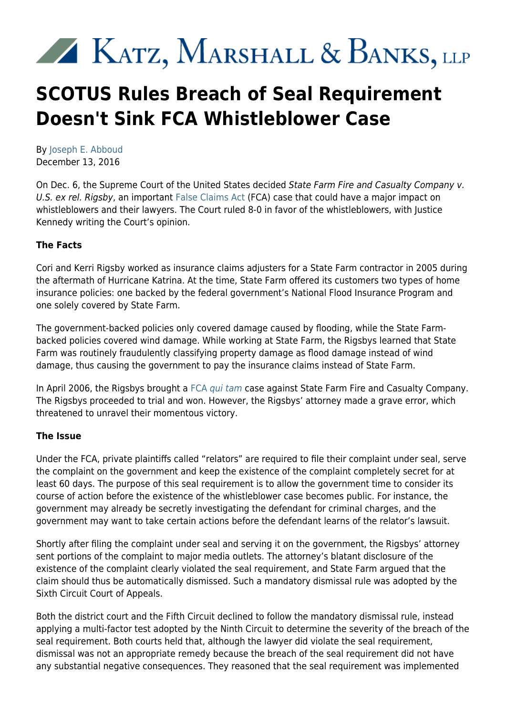# KATZ, MARSHALL & BANKS, LLP

# **SCOTUS Rules Breach of Seal Requirement Doesn't Sink FCA Whistleblower Case**

By [Joseph E. Abboud](https://kmblegal.com/attorneys-and-staff/joseph-abboud) December 13, 2016

On Dec. 6, the Supreme Court of the United States decided State Farm Fire and Casualty Company v. U.S. ex rel. Rigsby, an important [False Claims Act](http://www.kmblegal.com/resources/qui-tamfalse-claims-act) (FCA) case that could have a major impact on whistleblowers and their lawyers. The Court ruled 8-0 in favor of the whistleblowers, with Justice Kennedy writing the Court's opinion.

## **The Facts**

Cori and Kerri Rigsby worked as insurance claims adjusters for a State Farm contractor in 2005 during the aftermath of Hurricane Katrina. At the time, State Farm offered its customers two types of home insurance policies: one backed by the federal government's National Flood Insurance Program and one solely covered by State Farm.

The government-backed policies only covered damage caused by flooding, while the State Farmbacked policies covered wind damage. While working at State Farm, the Rigsbys learned that State Farm was routinely fraudulently classifying property damage as flood damage instead of wind damage, thus causing the government to pay the insurance claims instead of State Farm.

In April 2006, the Rigsbys brought a [FCA](http://www.kmblegal.com/practice-areas/whistleblower-law/qui-tam-whistleblower-incentives) [qui tam](http://www.kmblegal.com/practice-areas/whistleblower-law/qui-tam-whistleblower-incentives) case against State Farm Fire and Casualty Company. The Rigsbys proceeded to trial and won. However, the Rigsbys' attorney made a grave error, which threatened to unravel their momentous victory.

### **The Issue**

Under the FCA, private plaintiffs called "relators" are required to file their complaint under seal, serve the complaint on the government and keep the existence of the complaint completely secret for at least 60 days. The purpose of this seal requirement is to allow the government time to consider its course of action before the existence of the whistleblower case becomes public. For instance, the government may already be secretly investigating the defendant for criminal charges, and the government may want to take certain actions before the defendant learns of the relator's lawsuit.

Shortly after filing the complaint under seal and serving it on the government, the Rigsbys' attorney sent portions of the complaint to major media outlets. The attorney's blatant disclosure of the existence of the complaint clearly violated the seal requirement, and State Farm argued that the claim should thus be automatically dismissed. Such a mandatory dismissal rule was adopted by the Sixth Circuit Court of Appeals.

Both the district court and the Fifth Circuit declined to follow the mandatory dismissal rule, instead applying a multi-factor test adopted by the Ninth Circuit to determine the severity of the breach of the seal requirement. Both courts held that, although the lawyer did violate the seal requirement, dismissal was not an appropriate remedy because the breach of the seal requirement did not have any substantial negative consequences. They reasoned that the seal requirement was implemented